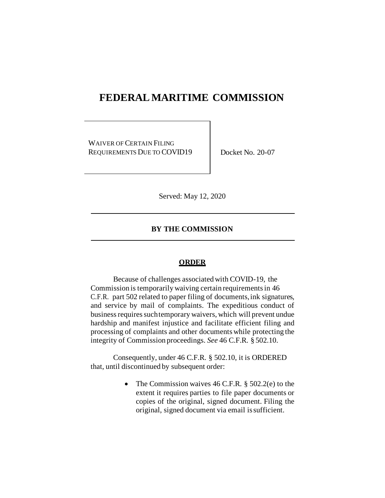## **FEDERAL MARITIME COMMISSION**

WAIVER OF CERTAIN FILING REQUIREMENTS DUE TO COVID19 Docket No. 20-07

Served: May 12, 2020

## **BY THE COMMISSION**

## **ORDER**

Because of challenges associated with COVID-19, the Commission is temporarily waiving certain requirements in 46 C.F.R. part 502 related to paper filing of documents,ink signatures, and service by mail of complaints. The expeditious conduct of business requires such temporary waivers, which will prevent undue hardship and manifest injustice and facilitate efficient filing and processing of complaints and other documents while protecting the integrity of Commission proceedings. *See* 46 C.F.R. § 502.10.

Consequently, under 46 C.F.R. § 502.10, it is ORDERED that, until discontinued by subsequent order:

> • The Commission waives 46 C.F.R. § 502.2(e) to the extent it requires parties to file paper documents or copies of the original, signed document. Filing the original, signed document via email issufficient.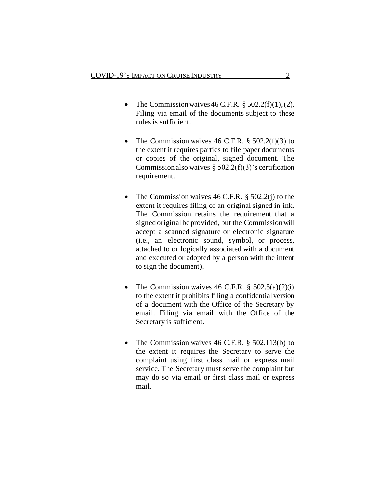- The Commission waives 46 C.F.R.  $\S 502.2(f)(1)$ , (2). Filing via email of the documents subject to these rules is sufficient.
- The Commission waives 46 C.F.R. § 502.2(f)(3) to the extent it requires parties to file paper documents or copies of the original, signed document. The Commissionalso waives  $\S$  502.2(f)(3)'s certification requirement.
- The Commission waives 46 C.F.R. § 502.2(j) to the extent it requires filing of an original signed in ink. The Commission retains the requirement that a signed original be provided, but the Commissionwill accept a scanned signature or electronic signature (i.e., an electronic sound, symbol, or process, attached to or logically associated with a document and executed or adopted by a person with the intent to sign the document).
- The Commission waives 46 C.F.R.  $\S$  502.5(a)(2)(i) to the extent it prohibits filing a confidential version of a document with the Office of the Secretary by email. Filing via email with the Office of the Secretary is sufficient.
- The Commission waives 46 C.F.R. § 502.113(b) to the extent it requires the Secretary to serve the complaint using first class mail or express mail service. The Secretary must serve the complaint but may do so via email or first class mail or express mail.